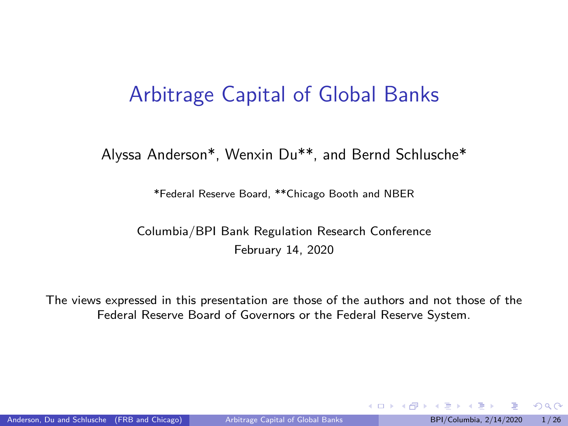#### <span id="page-0-0"></span>Arbitrage Capital of Global Banks

#### Alyssa Anderson\*, Wenxin Du\*\*, and Bernd Schlusche\*

\*Federal Reserve Board, \*\*Chicago Booth and NBER

Columbia/BPI Bank Regulation Research Conference February 14, 2020

The views expressed in this presentation are those of the authors and not those of the Federal Reserve Board of Governors or the Federal Reserve System.

 $QQ$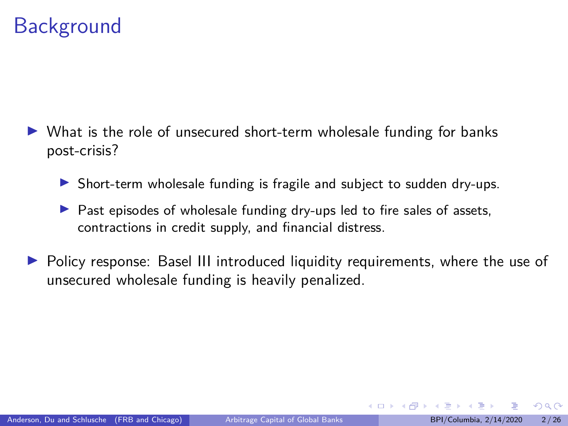## **Background**

- $\triangleright$  What is the role of unsecured short-term wholesale funding for banks post-crisis?
	- Short-term wholesale funding is fragile and subject to sudden dry-ups.
	- Past episodes of wholesale funding dry-ups led to fire sales of assets, contractions in credit supply, and financial distress.
- Policy response: Basel III introduced liquidity requirements, where the use of unsecured wholesale funding is heavily penalized.

 $\Omega$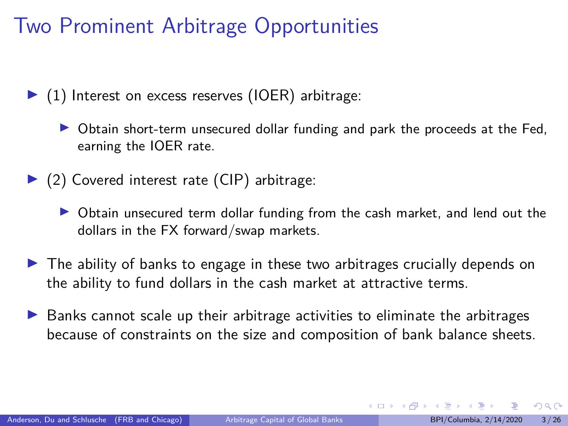# Two Prominent Arbitrage Opportunities

 $\blacktriangleright$  (1) Interest on excess reserves (IOER) arbitrage:

Obtain short-term unsecured dollar funding and park the proceeds at the Fed, earning the IOER rate.

- $\triangleright$  (2) Covered interest rate (CIP) arbitrage:
	- $\triangleright$  Obtain unsecured term dollar funding from the cash market, and lend out the dollars in the FX forward/swap markets.
- In The ability of banks to engage in these two arbitrages crucially depends on the ability to fund dollars in the cash market at attractive terms.
- $\triangleright$  Banks cannot scale up their arbitrage activities to eliminate the arbitrages because of constraints on the size and composition of bank balance sheets.

 $\Omega$ 

 $4$  ロ }  $4$   $\overline{m}$  }  $4$   $\overline{m}$  }  $4$   $\overline{m}$  }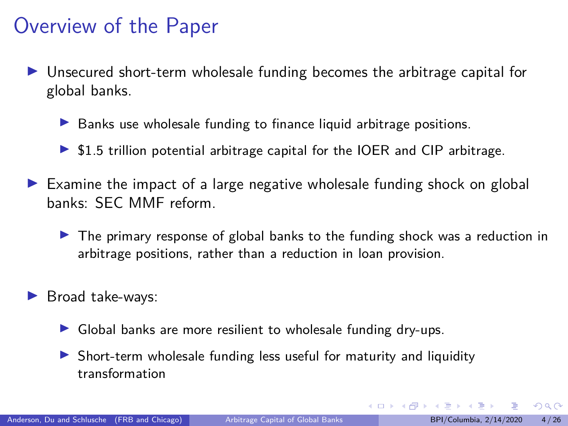#### Overview of the Paper

- I Unsecured short-term wholesale funding becomes the arbitrage capital for global banks.
	- $\blacktriangleright$  Banks use wholesale funding to finance liquid arbitrage positions.
	- $\triangleright$  \$1.5 trillion potential arbitrage capital for the IOER and CIP arbitrage.
- $\triangleright$  Examine the impact of a large negative wholesale funding shock on global banks: SEC MMF reform.
	- $\triangleright$  The primary response of global banks to the funding shock was a reduction in arbitrage positions, rather than a reduction in loan provision.
- Broad take-ways:
	- Global banks are more resilient to wholesale funding dry-ups.
	- $\triangleright$  Short-term wholesale funding less useful for maturity and liquidity transformation

 $\Omega$ 

 $4$  ロ )  $4$   $\overline{m}$  )  $4$   $\overline{m}$  )  $4$   $\overline{m}$  )  $4$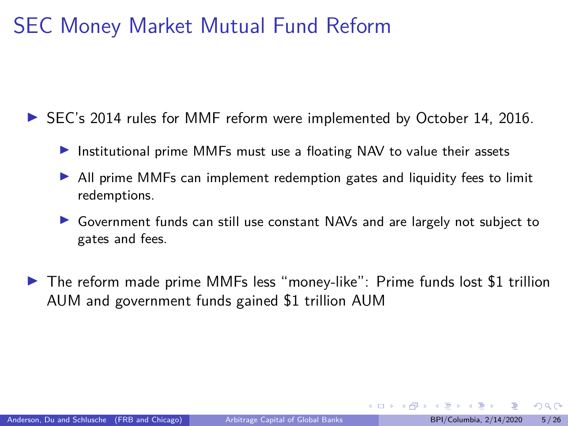### SEC Money Market Mutual Fund Reform

▶ SEC's 2014 rules for MMF reform were implemented by October 14, 2016.

- Institutional prime MMFs must use a floating NAV to value their assets
- In All prime MMFs can implement redemption gates and liquidity fees to limit redemptions.
- ▶ Government funds can still use constant NAVs and are largely not subject to gates and fees.
- $\triangleright$  The reform made prime MMFs less "money-like": Prime funds lost \$1 trillion AUM and government funds gained \$1 trillion AUM

 $\Omega$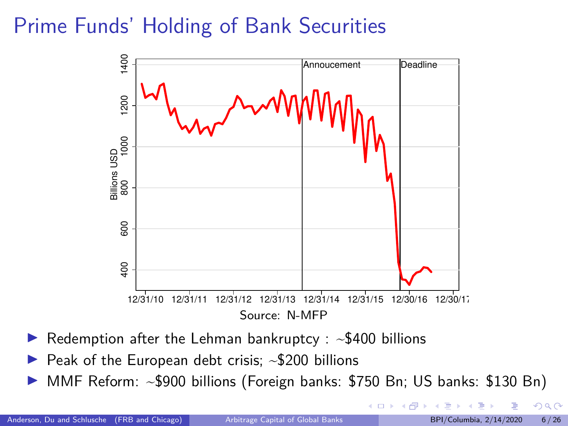# Prime Funds' Holding of Bank Securities



- $\blacktriangleright$  Redemption after the Lehman bankruptcy :  $\sim$ \$400 billions
- $\blacktriangleright$  Peak of the European debt crisis; ~\$200 billions
- I MMF Reform: ~\$900 billions (Foreign banks: \$750 Bn; US banks: \$130 Bn)

 $\Omega$ 

 $\leftarrow$   $\leftarrow$   $\leftarrow$   $\leftarrow$   $\leftarrow$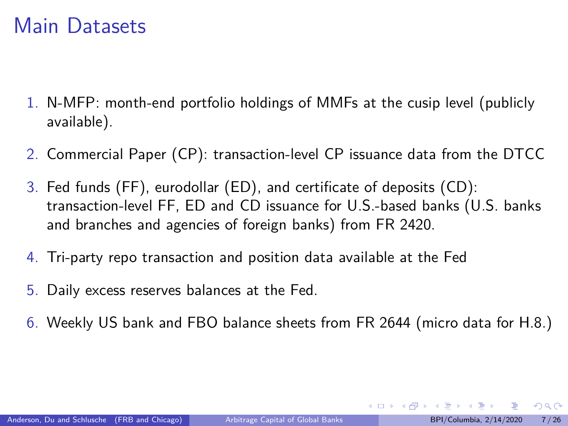#### Main Datasets

- 1. N-MFP: month-end portfolio holdings of MMFs at the cusip level (publicly available).
- 2. Commercial Paper (CP): transaction-level CP issuance data from the DTCC
- 3. Fed funds (FF), eurodollar (ED), and certificate of deposits (CD): transaction-level FF, ED and CD issuance for U.S.-based banks (U.S. banks and branches and agencies of foreign banks) from FR 2420.
- 4. Tri-party repo transaction and position data available at the Fed
- 5. Daily excess reserves balances at the Fed.
- 6. Weekly US bank and FBO balance sheets from FR 2644 (micro data for H.8.)

 $QQ$ 

 $4$  ロ )  $4$   $\overline{m}$  )  $4$   $\overline{m}$  )  $4$   $\overline{m}$  )  $4$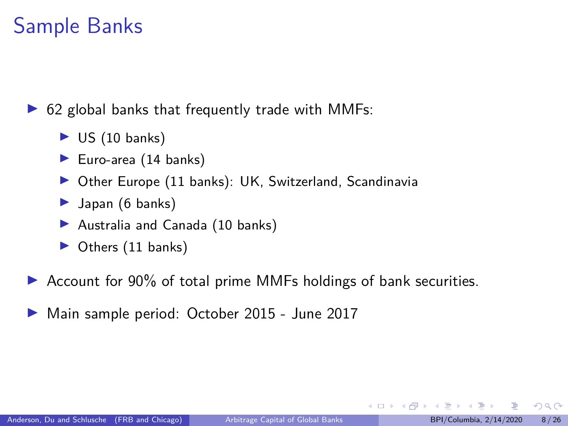#### Sample Banks

 $\triangleright$  62 global banks that frequently trade with MMFs:

- $\triangleright$  US (10 banks)
- Euro-area  $(14 \text{ banks})$
- $\triangleright$  Other Europe (11 banks): UK, Switzerland, Scandinavia
- $\blacktriangleright$  Japan (6 banks)
- Australia and Canada  $(10 \text{ banks})$
- $\triangleright$  Others (11 banks)
- $\triangleright$  Account for 90% of total prime MMFs holdings of bank securities.
- ▶ Main sample period: October 2015 June 2017

э

 $\Omega$ 

 $\left\{ \begin{array}{ccc} 1 & 0 & 0 \\ 0 & 1 & 0 \end{array} \right.$  ,  $\left\{ \begin{array}{ccc} \frac{1}{2} & 0 & 0 \\ 0 & 0 & 0 \end{array} \right.$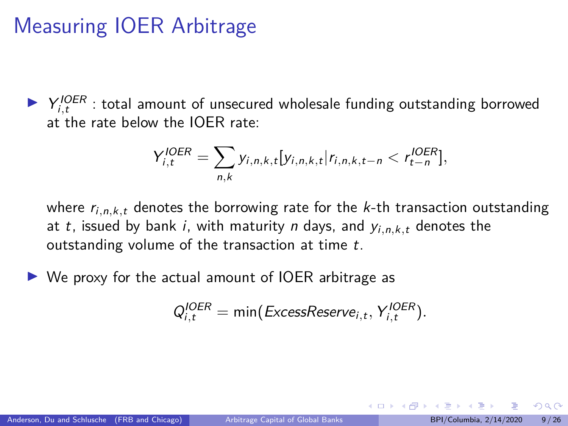## Measuring IOER Arbitrage

▶ Y<sup>IOER</sup> : total amount of unsecured wholesale funding outstanding borrowed at the rate below the IOER rate:

$$
Y_{i,t}^{IOER} = \sum_{n,k} y_{i,n,k,t} [y_{i,n,k,t} | r_{i,n,k,t-n} < r_{t-n}^{IOER}],
$$

where  $r_{i,n,k,t}$  denotes the borrowing rate for the  $k$ -th transaction outstanding at t, issued by bank i, with maturity n days, and  $y_{i,n,k,t}$  denotes the outstanding volume of the transaction at time t.

 $\triangleright$  We proxy for the actual amount of IOER arbitrage as

$$
Q_{i,t}^{IOER} = \min(ExcessReserve_{i,t}, Y_{i,t}^{IOER}).
$$

 $\left\{ \begin{array}{ccc} 1 & 0 & 0 \\ 0 & 1 & 0 \end{array} \right.$  ,  $\left\{ \begin{array}{ccc} \frac{1}{2} & 0 & 0 \\ 0 & 0 & 0 \end{array} \right.$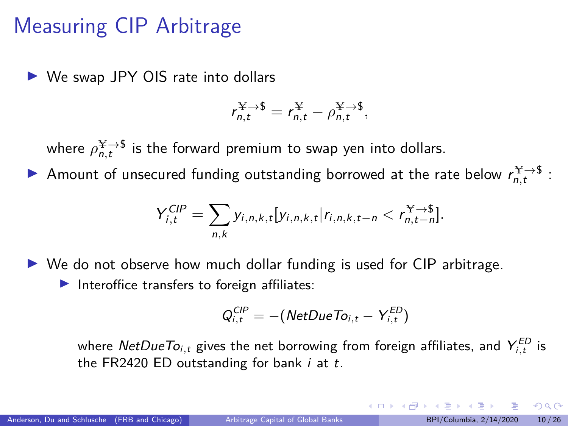## Measuring CIP Arbitrage

 $\triangleright$  We swap JPY OIS rate into dollars

$$
r_{n,t}^{\mathbf{Y}\to\mathbf{\$}}=r_{n,t}^{\mathbf{Y}}-\rho_{n,t}^{\mathbf{Y}\to\mathbf{\$}},
$$

where  $\rho_{n,t}^{\text{H}\rightarrow \text{S}}$  is the forward premium to swap yen into dollars.

Amount of unsecured funding outstanding borrowed at the rate below  $r_{n,t}^{\frac{N}{2} \to 5}$ :

$$
Y_{i,t}^{CIP} = \sum_{n,k} y_{i,n,k,t} [y_{i,n,k,t} | r_{i,n,k,t-n} < r_{n,t-n}^{\text{max}}].
$$

 $\triangleright$  We do not observe how much dollar funding is used for CIP arbitrage.

 $\blacktriangleright$  Interoffice transfers to foreign affiliates:

$$
Q_{i,t}^{CIP} = -(NetDueTo_{i,t} - Y_{i,t}^{ED})
$$

where  $\mathsf{NetDueTo}_{i,t}$  gives the net borrowing from foreign affiliates, and  $\mathsf{Y}^{\mathsf{ED}}_{i,t}$  is the FR2420 ED outstanding for bank  $i$  at  $t$ .

 $\Omega$ 

 $4$  ロ )  $4$   $\overline{m}$  )  $4$   $\overline{m}$  )  $4$   $\overline{m}$  )  $4$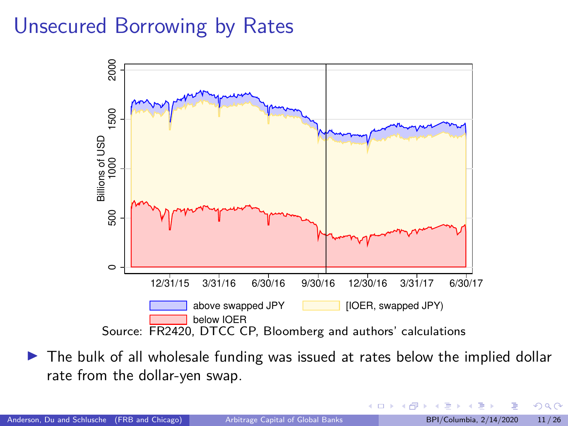### <span id="page-10-0"></span>Unsecured Borrowing by Rates



 $\triangleright$  The bulk of all wholesale funding was issued at rates below the implied dollar rate from the dollar-yen swap.

4日下

4 同 )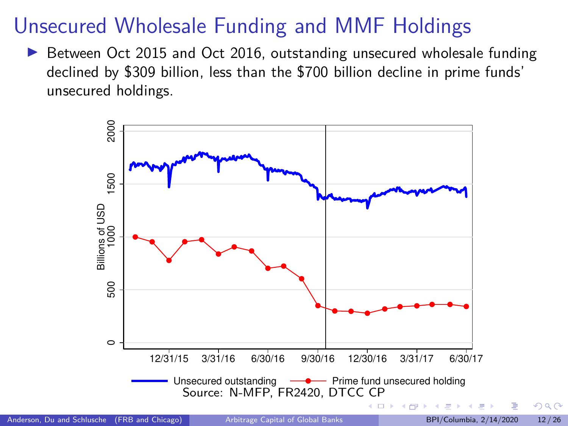## Unsecured Wholesale Funding and MMF Holdings

▶ Between Oct 2015 and Oct 2016, outstanding unsecured wholesale funding declined by \$309 billion, less than the \$700 billion decline in prime funds' unsecured holdings.



 $\Omega$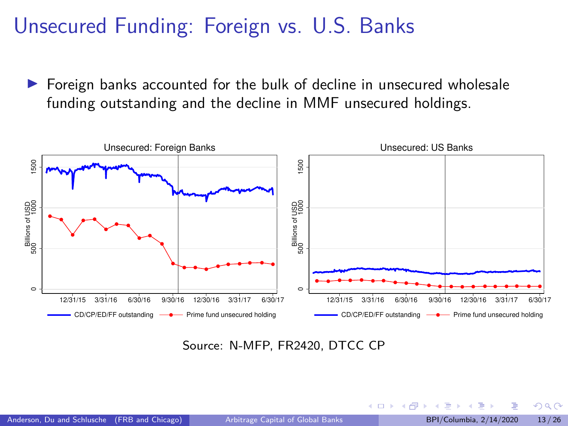#### <span id="page-12-0"></span>Unsecured Funding: Foreign vs. U.S. Banks

▶ Foreign banks accounted for the bulk of decline in unsecured wholesale funding outstanding and the decline in MMF unsecured holdings.



Source: N-MFP, FR2420, DTCC CP

 $\Omega$ 

**K ロ ▶ K 何 ▶ K**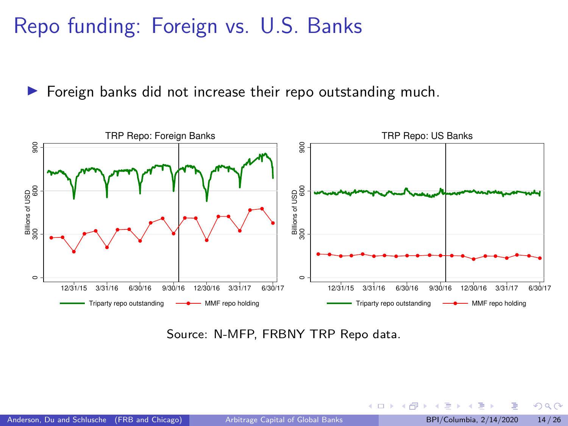## Repo funding: Foreign vs. U.S. Banks

 $\triangleright$  Foreign banks did not increase their repo outstanding much.



Source: N-MFP, FRBNY TRP Repo data.

**← ロ ▶ → イ 何 →**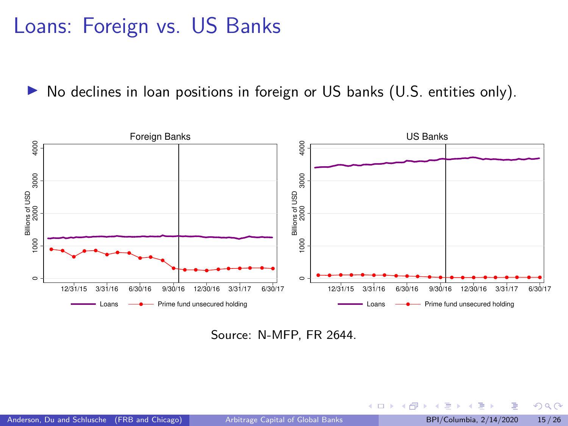### Loans: Foreign vs. US Banks

 $\triangleright$  No declines in loan positions in foreign or US banks (U.S. entities only).



Source: N-MFP, FR 2644.

∍

つへへ

メロトメ 倒下 メミトメ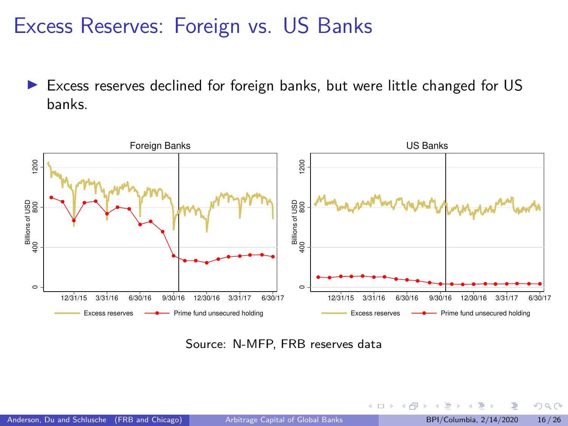#### Excess Reserves: Foreign vs. US Banks

Excess reserves declined for foreign banks, but were little changed for US banks.



Source: N-MFP, FRB reserves data

 $\Omega$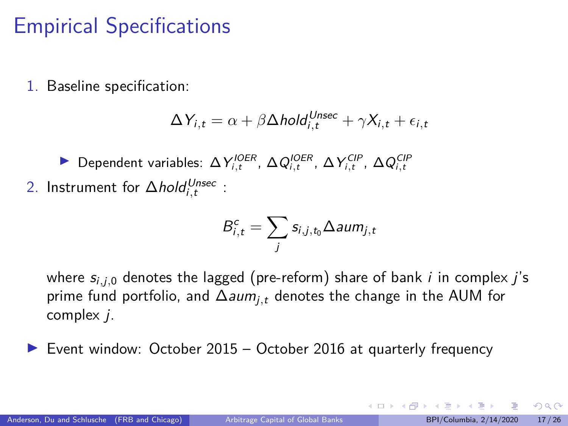## Empirical Specifications

1. Baseline specification:

$$
\Delta Y_{i,t} = \alpha + \beta \Delta \text{hold}_{i,t}^{\text{Unsec}} + \gamma X_{i,t} + \epsilon_{i,t}
$$

Dependent variables: ΔY<sub>i,t</sub><sup>n</sup>, ΔQ<sub>i,t</sub><sup>n</sup>, ΔY<sub>i,t</sub><sup>n</sup>, ΔQ<sub>i,t</sub><sup>c</sup>iP<sub>,t</sub><sup>n</sup> 2. Instrument for ∆*hold<sup>Unsec</sup>* :

$$
B_{i,t}^c = \sum_j s_{i,j,t_0} \Delta{aum_{j,t}}
$$

where  $s_{i,i,0}$  denotes the lagged (pre-reform) share of bank i in complex i's prime fund portfolio, and ∆aumj*,*<sup>t</sup> denotes the change in the AUM for complex j.

 $\triangleright$  Event window: October 2015 – October 2016 at quarterly frequency

 $\Omega$ 

イロト イ押 トイヨ トイヨト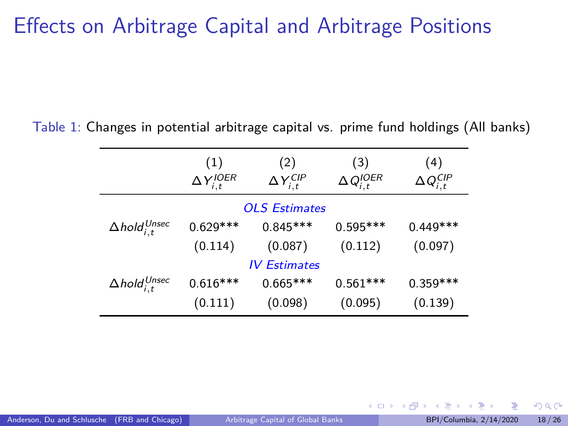#### Effects on Arbitrage Capital and Arbitrage Positions

Table 1: Changes in potential arbitrage capital vs. prime fund holdings (All banks)

|                                | (1)<br>$\Delta Y_{i,t}^{IOER}$ | (2)<br>$\Delta Y_{i,t}^{CIP}$ | (3)<br>$\Delta Q_{i,t}^{IOER}$ | (4)<br>$\Delta Q_{i,t}^{CIP}$ |  |  |
|--------------------------------|--------------------------------|-------------------------------|--------------------------------|-------------------------------|--|--|
| <b>OLS Estimates</b>           |                                |                               |                                |                               |  |  |
| $\Delta$ hold $_{i,t}^{Unsec}$ | $0.629***$                     | $0.845***$                    | $0.595***$                     | $0.449***$                    |  |  |
|                                | (0.114)                        | (0.087)                       | (0.112)                        | (0.097)                       |  |  |
| <b>IV Estimates</b>            |                                |                               |                                |                               |  |  |
| $\Delta$ hold $_{i,t}^{Unsec}$ | $0.616***$                     | $0.665***$                    | $0.561***$                     | $0.359***$                    |  |  |
|                                | (0.111)                        | (0.098)                       | (0.095)                        | (0.139)                       |  |  |

 $\Omega$ 

**K ロ ▶ K 何 ▶ K**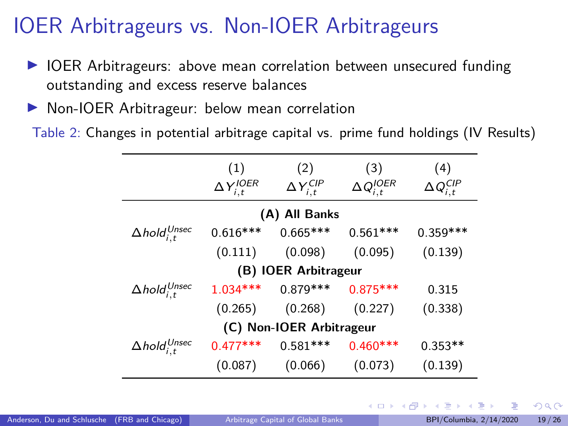# IOER Arbitrageurs vs. Non-IOER Arbitrageurs

- ▶ IOER Arbitrageurs: above mean correlation between unsecured funding outstanding and excess reserve balances
- ▶ Non-IOER Arbitrageur: below mean correlation

Table 2: Changes in potential arbitrage capital vs. prime fund holdings (IV Results)

|                                | (1)<br>$\Delta Y_{i,t}^{IOER}$ | (2)<br>$\Delta Y_{i,t}^{CIP}$ | (3)<br>$\Delta Q^{IOER}_{i,t}$ | (4)<br>$\Delta Q_{i,t}^{CIP}$ |  |  |
|--------------------------------|--------------------------------|-------------------------------|--------------------------------|-------------------------------|--|--|
| (A) All Banks                  |                                |                               |                                |                               |  |  |
| $\Delta$ hold $_{i,t}^{Unsec}$ | $0.616***$                     | $0.665***$                    | $0.561***$                     | $0.359***$                    |  |  |
|                                | (0.111)                        | (0.098)                       | (0.095)                        | (0.139)                       |  |  |
| (B) IOER Arbitrageur           |                                |                               |                                |                               |  |  |
| $\Delta$ hold $_{i,t}^{Unsec}$ | $1.034***$                     | $0.879***$                    | $0.875***$                     | 0.315                         |  |  |
|                                | (0.265)                        | (0.268)                       | (0.227)                        | (0.338)                       |  |  |
| (C) Non-IOER Arbitrageur       |                                |                               |                                |                               |  |  |
| $\Delta$ hold $_{i,t}^{Unsec}$ | $0.477***$                     | $0.581***$                    | $0.460***$                     | $0.353**$                     |  |  |
|                                | (0.087)                        | (0.066)                       | (0.073)                        | (0.139)                       |  |  |

**K ロ ▶ K 何 ▶ K 手** 

 $QQ$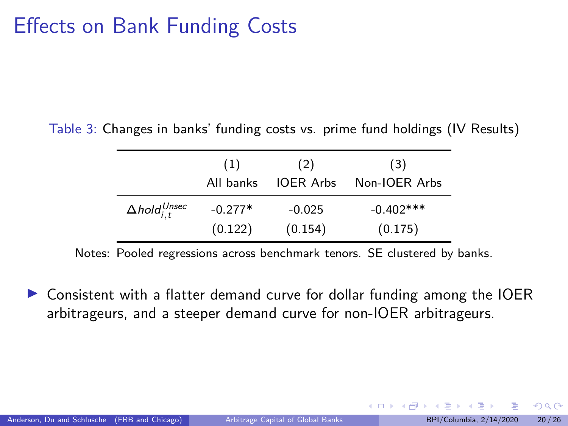#### Effects on Bank Funding Costs

Table 3: Changes in banks' funding costs vs. prime fund holdings (IV Results)

|                                | (1)<br>All banks | (2)<br><b>IOER Arbs</b> | (3)<br>Non-IOER Arbs |
|--------------------------------|------------------|-------------------------|----------------------|
| $\Delta$ hold $_{i.t}^{Unsec}$ | $-0.277*$        | $-0.025$                | $-0.402***$          |
|                                | (0.122)          | (0.154)                 | (0.175)              |

Notes: Pooled regressions across benchmark tenors. SE clustered by banks.

▶ Consistent with a flatter demand curve for dollar funding among the IOER arbitrageurs, and a steeper demand curve for non-IOER arbitrageurs.

 $\Omega$ 

 $\leftarrow$   $\equiv$   $\rightarrow$   $\rightarrow$   $\equiv$   $\rightarrow$   $\equiv$   $\rightarrow$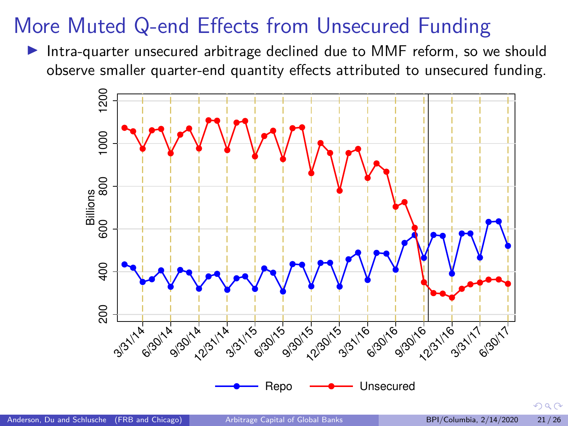# <span id="page-20-0"></span>More Muted Q-end Effects from Unsecured Funding

Intra-quarter unsecured arbitrage declined due to MMF reform, so we should observe smaller quarter-end quantity effects attributed to unsecured funding.



 $QQ$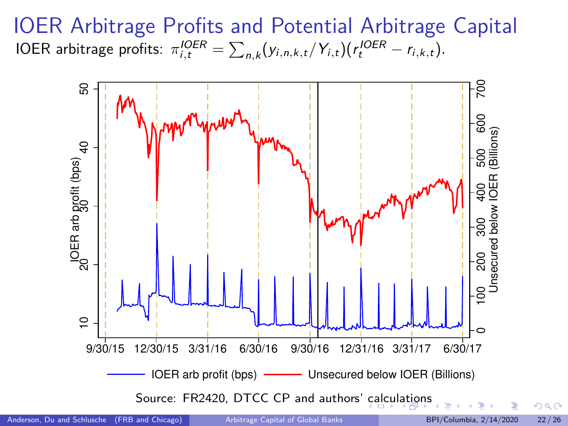<span id="page-21-0"></span>IOER Arbitrage Profits and Potential Arbitrage Capital IOER arbitrage profits:  $\pi^{OER}_{i,t} = \sum_{n,k} (y_{i,n,k,t}/Y_{i,t}) (r^{IOER}_t - r_{i,k,t}).$ 

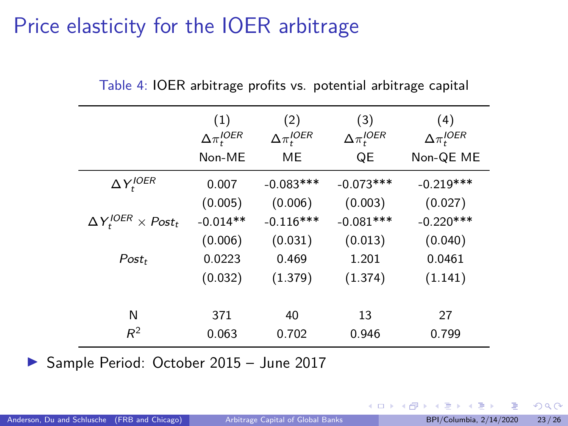## <span id="page-22-0"></span>Price elasticity for the IOER arbitrage

|                                   | (1)<br>$\Delta\pi_t^{IOER}$<br>Non-ME | (2)<br>$\Delta \pi_t^{IOER}$<br><b>ME</b> | (3)<br>$\Delta \pi_t^{IOER}$<br>QE | (4)<br>$\Delta \pi_t^{IOER}$<br>Non-QE ME |
|-----------------------------------|---------------------------------------|-------------------------------------------|------------------------------------|-------------------------------------------|
| $\Delta Y_t^{IOER}$               | 0.007                                 | $-0.083***$                               | $-0.073***$                        | $-0.219***$                               |
|                                   | (0.005)                               | (0.006)                                   | (0.003)                            | (0.027)                                   |
| $\Delta Y_t^{IOER} \times Post_t$ | $-0.014**$                            | $-0.116***$                               | $-0.081***$                        | $-0.220***$                               |
|                                   | (0.006)                               | (0.031)                                   | (0.013)                            | (0.040)                                   |
| $Post_t$                          | 0.0223                                | 0.469                                     | 1.201                              | 0.0461                                    |
|                                   | (0.032)                               | (1.379)                                   | (1.374)                            | (1.141)                                   |
|                                   |                                       |                                           |                                    |                                           |
| N                                 | 371                                   | 40                                        | 13                                 | 27                                        |
| $R^2$                             | 0.063                                 | 0.702                                     | 0.946                              | 0.799                                     |

Table 4: IOER arbitrage profits vs. potential arbitrage capital

▶ Sample Period: October 2015 - June 2017

 $\Omega$ 

**K ロ ト K 伊 ト K 毛**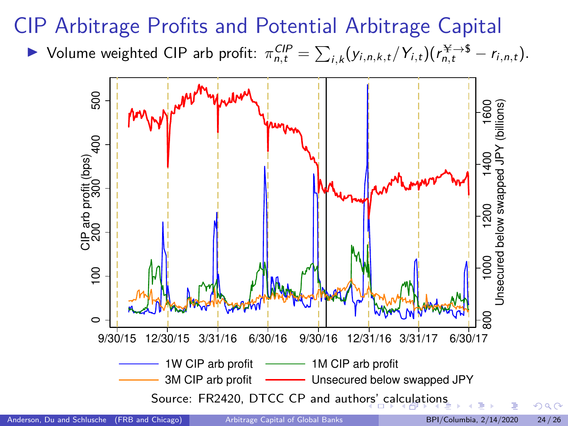# <span id="page-23-0"></span>CIP Arbitrage Profits and Potential Arbitrage Capital

 $\triangleright$  Volume weighted CIP arb profit:  $\pi_{n,t}^{CIP} = \sum_{i,k} (y_{i,n,k,t}/Y_{i,t})(r_{n,t}^{¥→$} - r_{i,n,t}).$ 

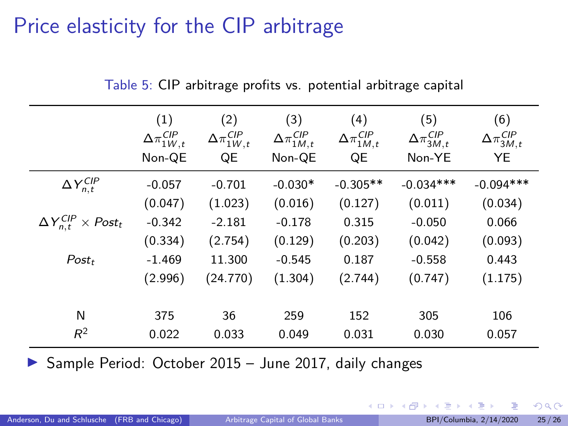## <span id="page-24-0"></span>Price elasticity for the CIP arbitrage

|                                      | (1)<br>$\Delta \pi_{1W,t}^{CIP}$<br>Non-QE | (2)<br>$\Delta \pi_{1W,t}^{CIP}$<br>QE | (3)<br>$\Delta \pi_{1M,t}^{CIP}$<br>Non-QE | (4)<br>$\Delta \pi_{1M,t}^{CIP}$<br>QE | (5)<br>$\Delta \pi_{3M,t}^{CIP}$<br>Non-YE | (6)<br>$\Delta\pi_{3M,t}^{CIP}$<br>YE |
|--------------------------------------|--------------------------------------------|----------------------------------------|--------------------------------------------|----------------------------------------|--------------------------------------------|---------------------------------------|
| $\Delta Y_{n,t}^{CIP}$               | $-0.057$                                   | $-0.701$                               | $-0.030*$                                  | $-0.305**$                             | $-0.034***$                                | $-0.094***$                           |
|                                      | (0.047)                                    | (1.023)                                | (0.016)                                    | (0.127)                                | (0.011)                                    | (0.034)                               |
| $\Delta Y_{n,t}^{CIP} \times Post_t$ | $-0.342$                                   | $-2.181$                               | $-0.178$                                   | 0.315                                  | $-0.050$                                   | 0.066                                 |
|                                      | (0.334)                                    | (2.754)                                | (0.129)                                    | (0.203)                                | (0.042)                                    | (0.093)                               |
| $Post_t$                             | $-1.469$                                   | 11.300                                 | $-0.545$                                   | 0.187                                  | $-0.558$                                   | 0.443                                 |
|                                      | (2.996)                                    | (24.770)                               | (1.304)                                    | (2.744)                                | (0.747)                                    | (1.175)                               |
|                                      |                                            |                                        |                                            |                                        |                                            |                                       |
| N                                    | 375                                        | 36                                     | 259                                        | 152                                    | 305                                        | 106                                   |
| $R^2$                                | 0.022                                      | 0.033                                  | 0.049                                      | 0.031                                  | 0.030                                      | 0.057                                 |

Table 5: CIP arbitrage profits vs. potential arbitrage capital

 $\triangleright$  Sample Period: October 2015 – June 2017, daily changes

 $298$ 

 $\leftarrow$   $\leftarrow$   $\leftarrow$   $\leftarrow$   $\leftarrow$   $\leftarrow$   $\leftarrow$   $\leftarrow$   $\leftarrow$   $\leftarrow$   $\leftarrow$   $\leftarrow$   $\leftarrow$   $\leftarrow$   $\leftarrow$   $\leftarrow$   $\leftarrow$   $\leftarrow$   $\leftarrow$   $\leftarrow$   $\leftarrow$   $\leftarrow$   $\leftarrow$   $\leftarrow$   $\leftarrow$   $\leftarrow$   $\leftarrow$   $\leftarrow$   $\leftarrow$   $\leftarrow$   $\leftarrow$   $\leftarrow$   $\leftarrow$   $\leftarrow$   $\leftarrow$   $\leftarrow$   $\leftarrow$